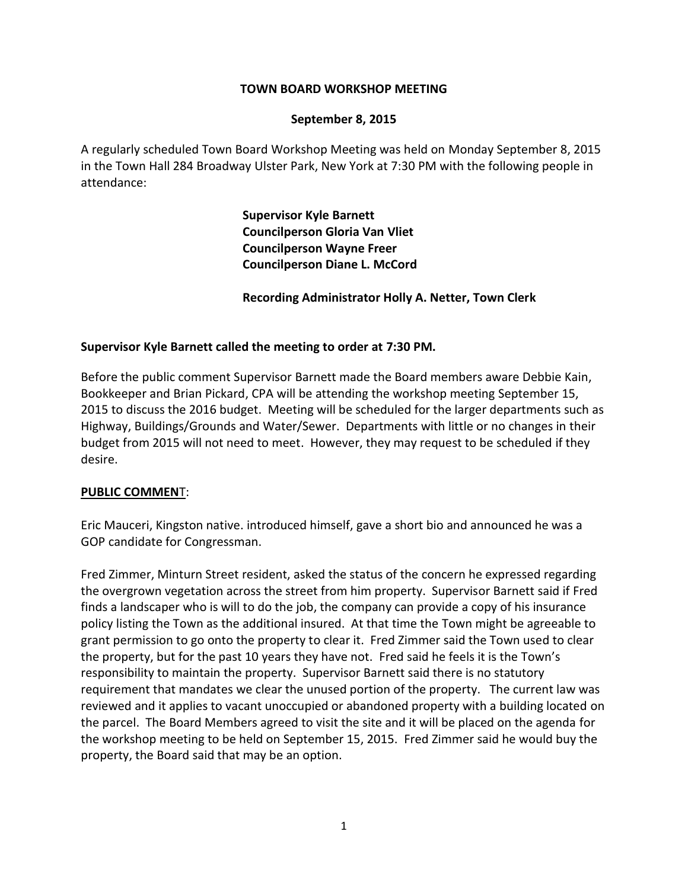## **TOWN BOARD WORKSHOP MEETING**

### **September 8, 2015**

A regularly scheduled Town Board Workshop Meeting was held on Monday September 8, 2015 in the Town Hall 284 Broadway Ulster Park, New York at 7:30 PM with the following people in attendance:

> **Supervisor Kyle Barnett Councilperson Gloria Van Vliet Councilperson Wayne Freer Councilperson Diane L. McCord**

**Recording Administrator Holly A. Netter, Town Clerk**

### **Supervisor Kyle Barnett called the meeting to order at 7:30 PM.**

Before the public comment Supervisor Barnett made the Board members aware Debbie Kain, Bookkeeper and Brian Pickard, CPA will be attending the workshop meeting September 15, 2015 to discuss the 2016 budget. Meeting will be scheduled for the larger departments such as Highway, Buildings/Grounds and Water/Sewer. Departments with little or no changes in their budget from 2015 will not need to meet. However, they may request to be scheduled if they desire.

#### **PUBLIC COMMEN**T:

Eric Mauceri, Kingston native. introduced himself, gave a short bio and announced he was a GOP candidate for Congressman.

Fred Zimmer, Minturn Street resident, asked the status of the concern he expressed regarding the overgrown vegetation across the street from him property. Supervisor Barnett said if Fred finds a landscaper who is will to do the job, the company can provide a copy of his insurance policy listing the Town as the additional insured. At that time the Town might be agreeable to grant permission to go onto the property to clear it. Fred Zimmer said the Town used to clear the property, but for the past 10 years they have not. Fred said he feels it is the Town's responsibility to maintain the property. Supervisor Barnett said there is no statutory requirement that mandates we clear the unused portion of the property. The current law was reviewed and it applies to vacant unoccupied or abandoned property with a building located on the parcel. The Board Members agreed to visit the site and it will be placed on the agenda for the workshop meeting to be held on September 15, 2015. Fred Zimmer said he would buy the property, the Board said that may be an option.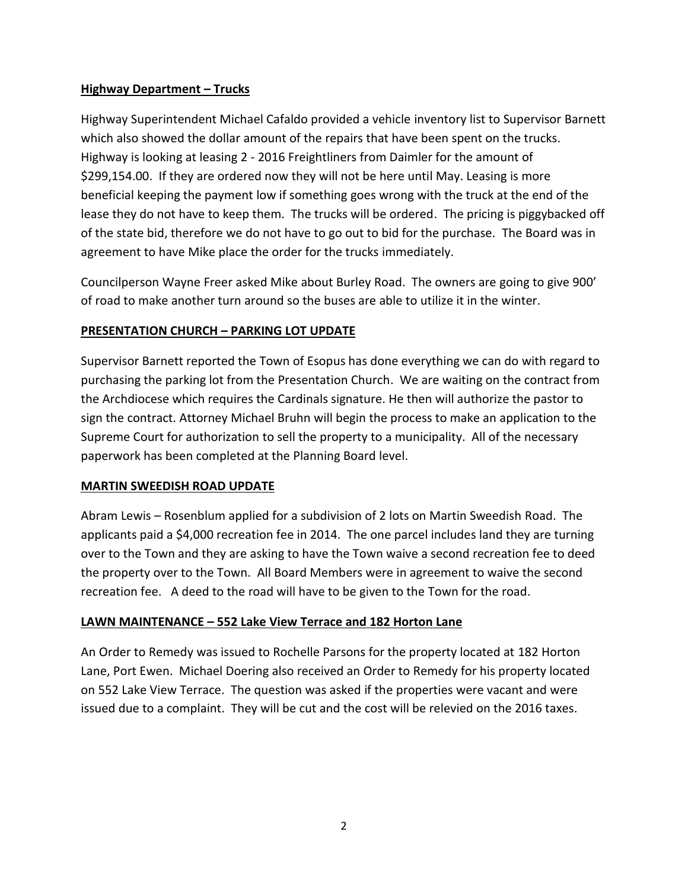# **Highway Department – Trucks**

Highway Superintendent Michael Cafaldo provided a vehicle inventory list to Supervisor Barnett which also showed the dollar amount of the repairs that have been spent on the trucks. Highway is looking at leasing 2 - 2016 Freightliners from Daimler for the amount of \$299,154.00. If they are ordered now they will not be here until May. Leasing is more beneficial keeping the payment low if something goes wrong with the truck at the end of the lease they do not have to keep them. The trucks will be ordered. The pricing is piggybacked off of the state bid, therefore we do not have to go out to bid for the purchase. The Board was in agreement to have Mike place the order for the trucks immediately.

Councilperson Wayne Freer asked Mike about Burley Road. The owners are going to give 900' of road to make another turn around so the buses are able to utilize it in the winter.

# **PRESENTATION CHURCH – PARKING LOT UPDATE**

Supervisor Barnett reported the Town of Esopus has done everything we can do with regard to purchasing the parking lot from the Presentation Church. We are waiting on the contract from the Archdiocese which requires the Cardinals signature. He then will authorize the pastor to sign the contract. Attorney Michael Bruhn will begin the process to make an application to the Supreme Court for authorization to sell the property to a municipality. All of the necessary paperwork has been completed at the Planning Board level.

## **MARTIN SWEEDISH ROAD UPDATE**

Abram Lewis – Rosenblum applied for a subdivision of 2 lots on Martin Sweedish Road. The applicants paid a \$4,000 recreation fee in 2014. The one parcel includes land they are turning over to the Town and they are asking to have the Town waive a second recreation fee to deed the property over to the Town. All Board Members were in agreement to waive the second recreation fee. A deed to the road will have to be given to the Town for the road.

## **LAWN MAINTENANCE – 552 Lake View Terrace and 182 Horton Lane**

An Order to Remedy was issued to Rochelle Parsons for the property located at 182 Horton Lane, Port Ewen. Michael Doering also received an Order to Remedy for his property located on 552 Lake View Terrace. The question was asked if the properties were vacant and were issued due to a complaint. They will be cut and the cost will be relevied on the 2016 taxes.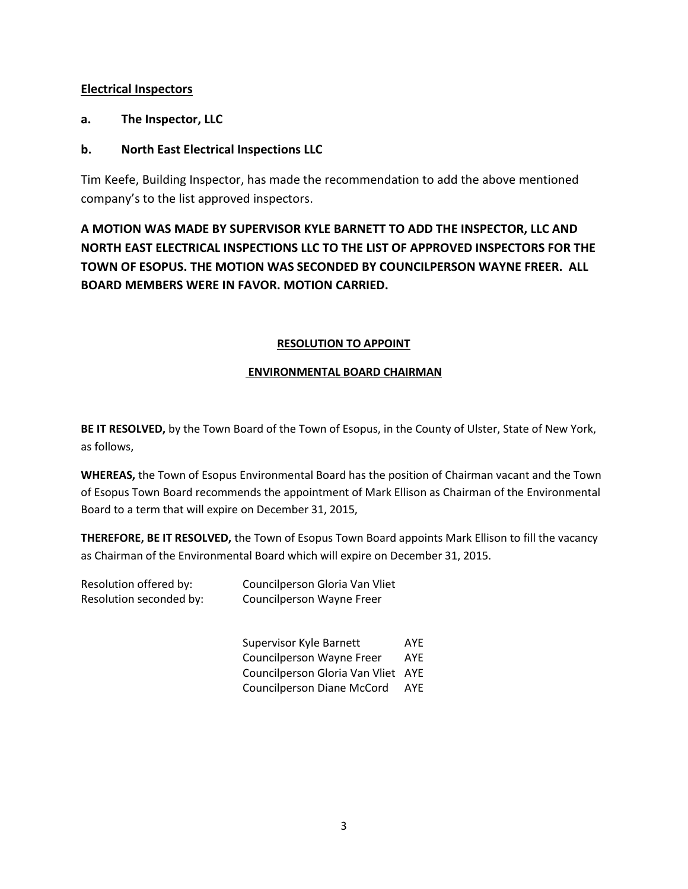# **Electrical Inspectors**

**a. The Inspector, LLC**

# **b. North East Electrical Inspections LLC**

Tim Keefe, Building Inspector, has made the recommendation to add the above mentioned company's to the list approved inspectors.

**A MOTION WAS MADE BY SUPERVISOR KYLE BARNETT TO ADD THE INSPECTOR, LLC AND NORTH EAST ELECTRICAL INSPECTIONS LLC TO THE LIST OF APPROVED INSPECTORS FOR THE TOWN OF ESOPUS. THE MOTION WAS SECONDED BY COUNCILPERSON WAYNE FREER. ALL BOARD MEMBERS WERE IN FAVOR. MOTION CARRIED.**

### **RESOLUTION TO APPOINT**

### **ENVIRONMENTAL BOARD CHAIRMAN**

**BE IT RESOLVED,** by the Town Board of the Town of Esopus, in the County of Ulster, State of New York, as follows,

**WHEREAS,** the Town of Esopus Environmental Board has the position of Chairman vacant and the Town of Esopus Town Board recommends the appointment of Mark Ellison as Chairman of the Environmental Board to a term that will expire on December 31, 2015,

**THEREFORE, BE IT RESOLVED,** the Town of Esopus Town Board appoints Mark Ellison to fill the vacancy as Chairman of the Environmental Board which will expire on December 31, 2015.

| Resolution offered by:  | Councilperson Gloria Van Vliet |
|-------------------------|--------------------------------|
| Resolution seconded by: | Councilperson Wayne Freer      |

| Supervisor Kyle Barnett           | AYE |
|-----------------------------------|-----|
| <b>Councilperson Wayne Freer</b>  | AYE |
| Councilperson Gloria Van Vliet    | AYF |
| <b>Councilperson Diane McCord</b> | AYF |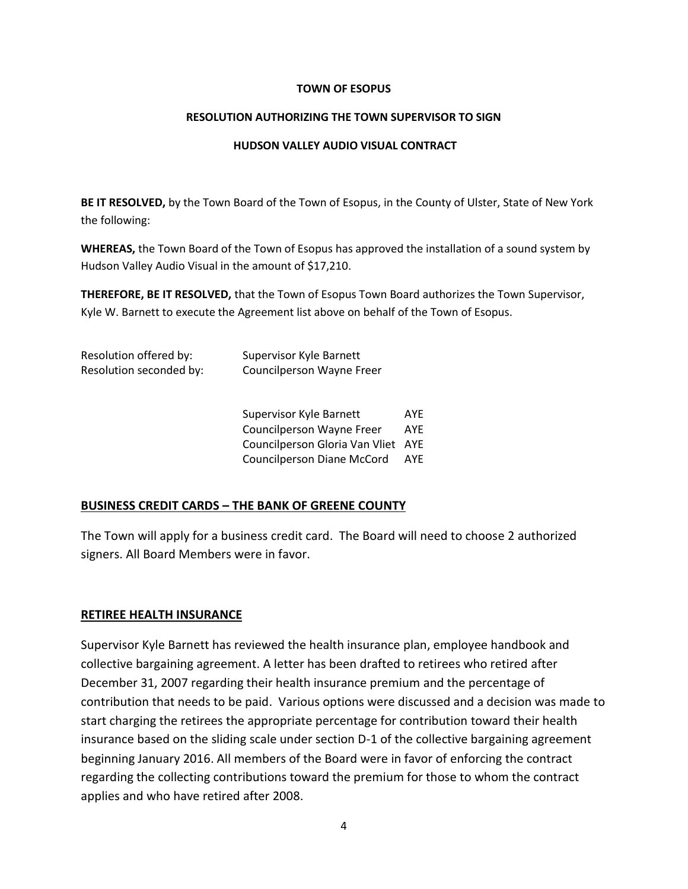#### **TOWN OF ESOPUS**

#### **RESOLUTION AUTHORIZING THE TOWN SUPERVISOR TO SIGN**

#### **HUDSON VALLEY AUDIO VISUAL CONTRACT**

**BE IT RESOLVED,** by the Town Board of the Town of Esopus, in the County of Ulster, State of New York the following:

**WHEREAS,** the Town Board of the Town of Esopus has approved the installation of a sound system by Hudson Valley Audio Visual in the amount of \$17,210.

**THEREFORE, BE IT RESOLVED,** that the Town of Esopus Town Board authorizes the Town Supervisor, Kyle W. Barnett to execute the Agreement list above on behalf of the Town of Esopus.

| Resolution offered by:  | Supervisor Kyle Barnett   |
|-------------------------|---------------------------|
| Resolution seconded by: | Councilperson Wayne Freer |
|                         |                           |

Supervisor Kyle Barnett AYE Councilperson Wayne Freer AYE Councilperson Gloria Van Vliet AYE Councilperson Diane McCord AYE

## **BUSINESS CREDIT CARDS – THE BANK OF GREENE COUNTY**

The Town will apply for a business credit card. The Board will need to choose 2 authorized signers. All Board Members were in favor.

## **RETIREE HEALTH INSURANCE**

Supervisor Kyle Barnett has reviewed the health insurance plan, employee handbook and collective bargaining agreement. A letter has been drafted to retirees who retired after December 31, 2007 regarding their health insurance premium and the percentage of contribution that needs to be paid. Various options were discussed and a decision was made to start charging the retirees the appropriate percentage for contribution toward their health insurance based on the sliding scale under section D-1 of the collective bargaining agreement beginning January 2016. All members of the Board were in favor of enforcing the contract regarding the collecting contributions toward the premium for those to whom the contract applies and who have retired after 2008.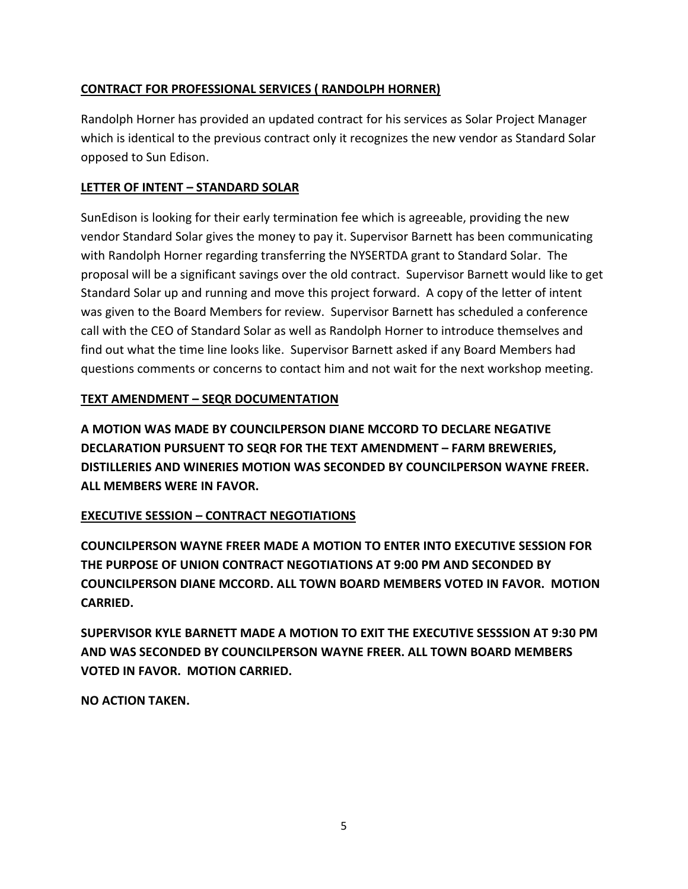# **CONTRACT FOR PROFESSIONAL SERVICES ( RANDOLPH HORNER)**

Randolph Horner has provided an updated contract for his services as Solar Project Manager which is identical to the previous contract only it recognizes the new vendor as Standard Solar opposed to Sun Edison.

# **LETTER OF INTENT – STANDARD SOLAR**

SunEdison is looking for their early termination fee which is agreeable, providing the new vendor Standard Solar gives the money to pay it. Supervisor Barnett has been communicating with Randolph Horner regarding transferring the NYSERTDA grant to Standard Solar. The proposal will be a significant savings over the old contract. Supervisor Barnett would like to get Standard Solar up and running and move this project forward. A copy of the letter of intent was given to the Board Members for review. Supervisor Barnett has scheduled a conference call with the CEO of Standard Solar as well as Randolph Horner to introduce themselves and find out what the time line looks like. Supervisor Barnett asked if any Board Members had questions comments or concerns to contact him and not wait for the next workshop meeting.

# **TEXT AMENDMENT – SEQR DOCUMENTATION**

**A MOTION WAS MADE BY COUNCILPERSON DIANE MCCORD TO DECLARE NEGATIVE DECLARATION PURSUENT TO SEQR FOR THE TEXT AMENDMENT – FARM BREWERIES, DISTILLERIES AND WINERIES MOTION WAS SECONDED BY COUNCILPERSON WAYNE FREER. ALL MEMBERS WERE IN FAVOR.**

# **EXECUTIVE SESSION – CONTRACT NEGOTIATIONS**

**COUNCILPERSON WAYNE FREER MADE A MOTION TO ENTER INTO EXECUTIVE SESSION FOR THE PURPOSE OF UNION CONTRACT NEGOTIATIONS AT 9:00 PM AND SECONDED BY COUNCILPERSON DIANE MCCORD. ALL TOWN BOARD MEMBERS VOTED IN FAVOR. MOTION CARRIED.**

**SUPERVISOR KYLE BARNETT MADE A MOTION TO EXIT THE EXECUTIVE SESSSION AT 9:30 PM AND WAS SECONDED BY COUNCILPERSON WAYNE FREER. ALL TOWN BOARD MEMBERS VOTED IN FAVOR. MOTION CARRIED.**

**NO ACTION TAKEN.**